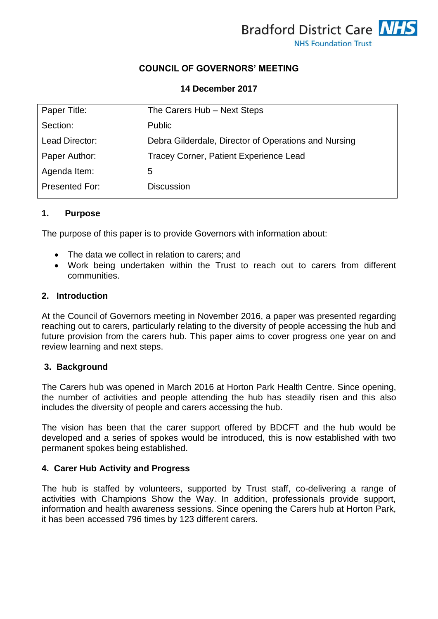

# **COUNCIL OF GOVERNORS' MEETING**

#### **14 December 2017**

| Paper Title:   | The Carers Hub - Next Steps                          |
|----------------|------------------------------------------------------|
| Section:       | <b>Public</b>                                        |
| Lead Director: | Debra Gilderdale, Director of Operations and Nursing |
| Paper Author:  | Tracey Corner, Patient Experience Lead               |
| Agenda Item:   | 5                                                    |
| Presented For: | <b>Discussion</b>                                    |

#### **1. Purpose**

The purpose of this paper is to provide Governors with information about:

- The data we collect in relation to carers: and
- Work being undertaken within the Trust to reach out to carers from different communities.

#### **2. Introduction**

At the Council of Governors meeting in November 2016, a paper was presented regarding reaching out to carers, particularly relating to the diversity of people accessing the hub and future provision from the carers hub. This paper aims to cover progress one year on and review learning and next steps.

## **3. Background**

The Carers hub was opened in March 2016 at Horton Park Health Centre. Since opening, the number of activities and people attending the hub has steadily risen and this also includes the diversity of people and carers accessing the hub.

The vision has been that the carer support offered by BDCFT and the hub would be developed and a series of spokes would be introduced, this is now established with two permanent spokes being established.

## **4. Carer Hub Activity and Progress**

The hub is staffed by volunteers, supported by Trust staff, co-delivering a range of activities with Champions Show the Way. In addition, professionals provide support, information and health awareness sessions. Since opening the Carers hub at Horton Park, it has been accessed 796 times by 123 different carers.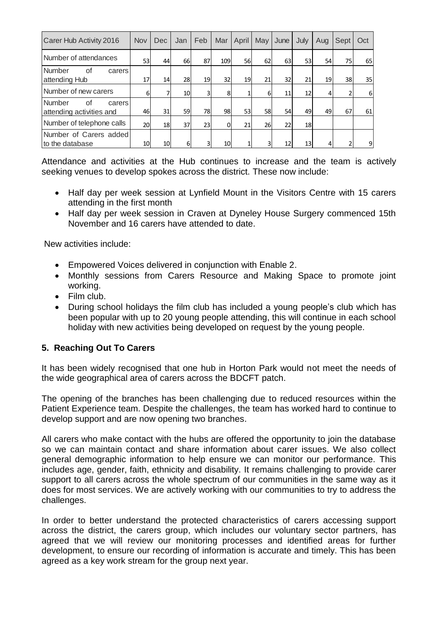| Carer Hub Activity 2016                            | <b>Nov</b> | <b>Dec</b> | Jan | Feb | Mar             | April | May       | June | July      | Aug            | Sept | Oct |
|----------------------------------------------------|------------|------------|-----|-----|-----------------|-------|-----------|------|-----------|----------------|------|-----|
| Number of attendances                              | 53         | 44         | 66  | 87  | 109             | 56    | 62        | 63   | 53 l      | 54             | 75   | 65  |
| Number<br>οf<br>carers<br>attending Hub            | 17         | 14         | 28  | 19  | 32 <sub>1</sub> | 19    | 21        | 32   | 21        | 19             | 38   | 35  |
| Number of new carers                               | 6          | 7          | 10  |     | 8               |       | 61        | 11   | 12        | $\overline{4}$ | 2    | 6   |
| Number<br>Ωf<br>carers<br>attending activities and | 46         | 31         | 59  | 78l | 98              | 53    | <b>58</b> | 54   | 49        | 49             | 67   | 61  |
| Number of telephone calls                          | 20         | 18l        | 37  | 23  | 0l              | 21    | 261       | 22   | <b>18</b> |                |      |     |
| Number of Carers added                             |            |            |     |     |                 |       |           |      |           |                |      |     |
| to the database                                    | 10         | 10         | 6   | 3   | 10              |       |           | 12   | 13        | 4              | 2    | 9   |

Attendance and activities at the Hub continues to increase and the team is actively seeking venues to develop spokes across the district. These now include:

- Half day per week session at Lynfield Mount in the Visitors Centre with 15 carers attending in the first month
- Half day per week session in Craven at Dyneley House Surgery commenced 15th November and 16 carers have attended to date.

New activities include:

- Empowered Voices delivered in conjunction with Enable 2.
- Monthly sessions from Carers Resource and Making Space to promote joint working.
- Film club.
- During school holidays the film club has included a young people's club which has been popular with up to 20 young people attending, this will continue in each school holiday with new activities being developed on request by the young people.

# **5. Reaching Out To Carers**

It has been widely recognised that one hub in Horton Park would not meet the needs of the wide geographical area of carers across the BDCFT patch.

The opening of the branches has been challenging due to reduced resources within the Patient Experience team. Despite the challenges, the team has worked hard to continue to develop support and are now opening two branches.

All carers who make contact with the hubs are offered the opportunity to join the database so we can maintain contact and share information about carer issues. We also collect general demographic information to help ensure we can monitor our performance. This includes age, gender, faith, ethnicity and disability. It remains challenging to provide carer support to all carers across the whole spectrum of our communities in the same way as it does for most services. We are actively working with our communities to try to address the challenges.

In order to better understand the protected characteristics of carers accessing support across the district, the carers group, which includes our voluntary sector partners, has agreed that we will review our monitoring processes and identified areas for further development, to ensure our recording of information is accurate and timely. This has been agreed as a key work stream for the group next year.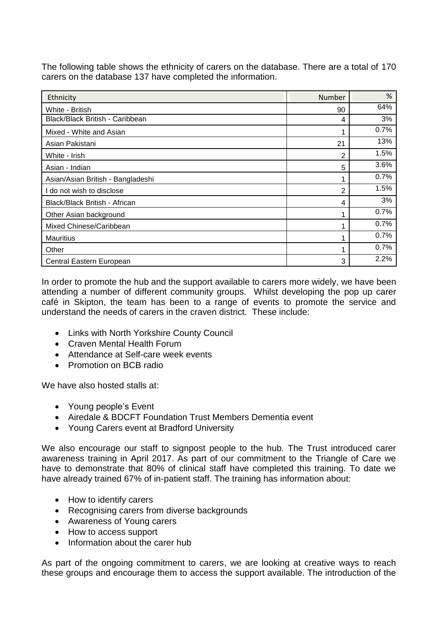The following table shows the ethnicity of carers on the database. There are a total of 170 carers on the database 137 have completed the information.

| Ethnicity                         | Number | %    |
|-----------------------------------|--------|------|
| White - British                   | 90     | 64%  |
| Black/Black British - Caribbean   | 4      | 3%   |
| Mixed - White and Asian           |        | 0.7% |
| Asian Pakistani                   | 21     | 13%  |
| White - Irish                     | 2      | 1.5% |
| Asian - Indian                    | 5      | 3.6% |
| Asian/Asian British - Bangladeshi |        | 0.7% |
| do not wish to disclose           | 2      | 1.5% |
| Black/Black British - African     | 4      | 3%   |
| Other Asian background            |        | 0.7% |
| Mixed Chinese/Caribbean           |        | 0.7% |
| <b>Mauritius</b>                  |        | 0.7% |
| Other                             |        | 0.7% |
| Central Eastern European          | 3      | 2.2% |

In order to promote the hub and the support available to carers more widely, we have been attending a number of different community groups. Whilst developing the pop up carer café in Skipton, the team has been to a range of events to promote the service and understand the needs of carers in the craven district. These include:

- Links with North Yorkshire County Council
- Craven Mental Health Forum
- Attendance at Self-care week events
- Promotion on BCB radio

We have also hosted stalls at:

- Young people's Event
- Airedale & BDCFT Foundation Trust Members Dementia event
- Young Carers event at Bradford University

We also encourage our staff to signpost people to the hub. The Trust introduced carer awareness training in April 2017. As part of our commitment to the Triangle of Care we have to demonstrate that 80% of clinical staff have completed this training. To date we have already trained 67% of in-patient staff. The training has information about:

- How to identify carers
- Recognising carers from diverse backgrounds
- Awareness of Young carers
- How to access support
- Information about the carer hub

As part of the ongoing commitment to carers, we are looking at creative ways to reach these groups and encourage them to access the support available. The introduction of the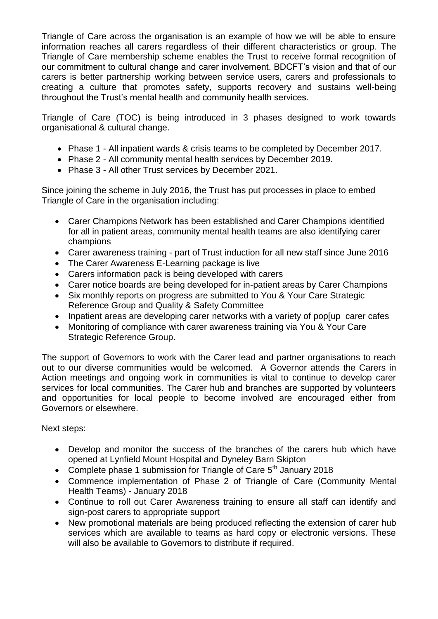Triangle of Care across the organisation is an example of how we will be able to ensure information reaches all carers regardless of their different characteristics or group. The Triangle of Care membership scheme enables the Trust to receive formal recognition of our commitment to cultural change and carer involvement. BDCFT's vision and that of our carers is better partnership working between service users, carers and professionals to creating a culture that promotes safety, supports recovery and sustains well-being throughout the Trust's mental health and community health services.

Triangle of Care (TOC) is being introduced in 3 phases designed to work towards organisational & cultural change.

- Phase 1 All inpatient wards & crisis teams to be completed by December 2017.
- Phase 2 All community mental health services by December 2019.
- Phase 3 All other Trust services by December 2021.

Since joining the scheme in July 2016, the Trust has put processes in place to embed Triangle of Care in the organisation including:

- Carer Champions Network has been established and Carer Champions identified for all in patient areas, community mental health teams are also identifying carer champions
- Carer awareness training part of Trust induction for all new staff since June 2016
- The Carer Awareness E-Learning package is live
- Carers information pack is being developed with carers
- Carer notice boards are being developed for in-patient areas by Carer Champions
- Six monthly reports on progress are submitted to You & Your Care Strategic Reference Group and Quality & Safety Committee
- Inpatient areas are developing carer networks with a variety of pop [up carer cafes
- Monitoring of compliance with carer awareness training via You & Your Care Strategic Reference Group.

The support of Governors to work with the Carer lead and partner organisations to reach out to our diverse communities would be welcomed. A Governor attends the Carers in Action meetings and ongoing work in communities is vital to continue to develop carer services for local communities. The Carer hub and branches are supported by volunteers and opportunities for local people to become involved are encouraged either from Governors or elsewhere.

Next steps:

- Develop and monitor the success of the branches of the carers hub which have opened at Lynfield Mount Hospital and Dyneley Barn Skipton
- Complete phase 1 submission for Triangle of Care  $5<sup>th</sup>$  January 2018
- Commence implementation of Phase 2 of Triangle of Care (Community Mental Health Teams) - January 2018
- Continue to roll out Carer Awareness training to ensure all staff can identify and sign-post carers to appropriate support
- New promotional materials are being produced reflecting the extension of carer hub services which are available to teams as hard copy or electronic versions. These will also be available to Governors to distribute if required.